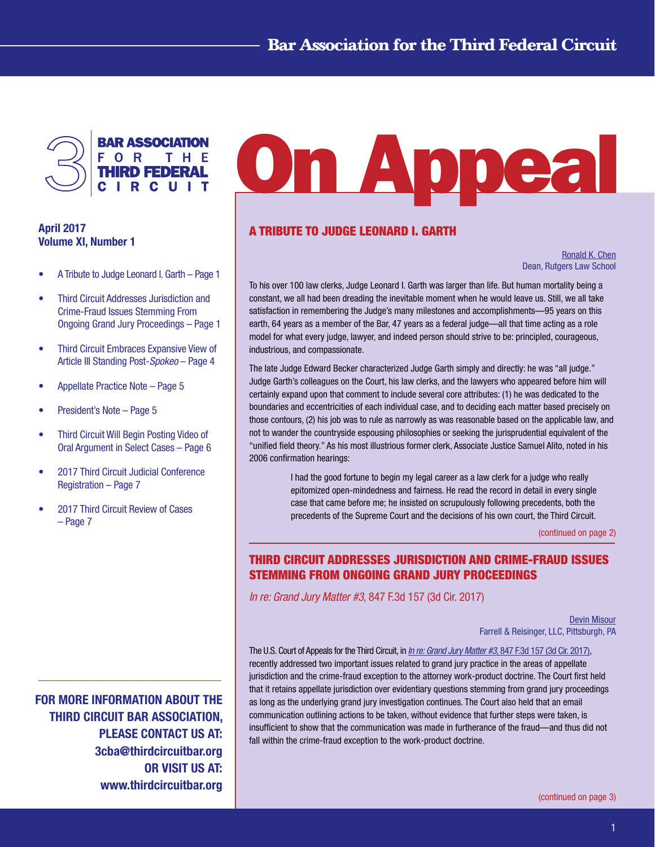

# April 2017 Volume XI, Number 1

- A Tribute to Judge Leonard I. Garth Page 1
- Third Circuit Addresses Jurisdiction and Crime-Fraud Issues Stemming From Ongoing Grand Jury Proceedings – Page 1
- Third Circuit Embraces Expansive View of Article III Standing Post-*Spokeo* – Page 4
- Appellate Practice Note Page 5
- President's Note Page 5
- Third Circuit Will Begin Posting Video of Oral Argument in Select Cases – Page 6
- 2017 Third Circuit Judicial Conference Registration – Page 7
- 2017 Third Circuit Review of Cases – Page 7

FOR MORE INFORMATION ABOUT THE THIRD CIRCUIT BAR ASSOCIATION, PLEASE CONTACT US AT: 3cba@thirdcircuitbar.org OR VISIT US AT: www.thirdcircuitbar.org

# **On Appea**

# A TRIBUTE TO JUDGE LEONARD I. GARTH

[Ronald K. Chen](https://law.rutgers.edu/directory/view/ronchen) Dean, Rutgers Law School

To his over 100 law clerks, Judge Leonard I. Garth was larger than life. But human mortality being a constant, we all had been dreading the inevitable moment when he would leave us. Still, we all take satisfaction in remembering the Judge's many milestones and accomplishments—95 years on this earth, 64 years as a member of the Bar, 47 years as a federal judge—all that time acting as a role model for what every judge, lawyer, and indeed person should strive to be: principled, courageous, industrious, and compassionate.

The late Judge Edward Becker characterized Judge Garth simply and directly: he was "all judge." Judge Garth's colleagues on the Court, his law clerks, and the lawyers who appeared before him will certainly expand upon that comment to include several core attributes: (1) he was dedicated to the boundaries and eccentricities of each individual case, and to deciding each matter based precisely on those contours, (2) his job was to rule as narrowly as was reasonable based on the applicable law, and not to wander the countryside espousing philosophies or seeking the jurisprudential equivalent of the "unified field theory." As his most illustrious former clerk, Associate Justice Samuel Alito, noted in his 2006 confirmation hearings:

> I had the good fortune to begin my legal career as a law clerk for a judge who really epitomized open-mindedness and fairness. He read the record in detail in every single case that came before me; he insisted on scrupulously following precedents, both the precedents of the Supreme Court and the decisions of his own court, the Third Circuit.

> > [\(continued on page 2\)](#page-1-0)

# THIRD CIRCUIT ADDRESSES JURISDICTION AND CRIME-FRAUD ISSUES STEMMING FROM ONGOING GRAND JURY PROCEEDINGS

*In re: Grand Jury Matter #3*, 847 F.3d 157 (3d Cir. 2017)

[Devin Misour](http://www.farrellreisinger.com/devin-misour.php) Farrell & Reisinger, LLC, Pittsburgh, PA

The U.S. Court of Appeals for the Third Circuit, in *In re: Grand Jury Matter #3*[, 847 F.3d 157 \(3d Cir. 2017\)](http://www2.ca3.uscourts.gov/opinarch/152475p.pdf), recently addressed two important issues related to grand jury practice in the areas of appellate jurisdiction and the crime-fraud exception to the attorney work-product doctrine. The Court first held that it retains appellate jurisdiction over evidentiary questions stemming from grand jury proceedings as long as the underlying grand jury investigation continues. The Court also held that an email communication outlining actions to be taken, without evidence that further steps were taken, is insufficient to show that the communication was made in furtherance of the fraud—and thus did not fall within the crime-fraud exception to the work-product doctrine.

1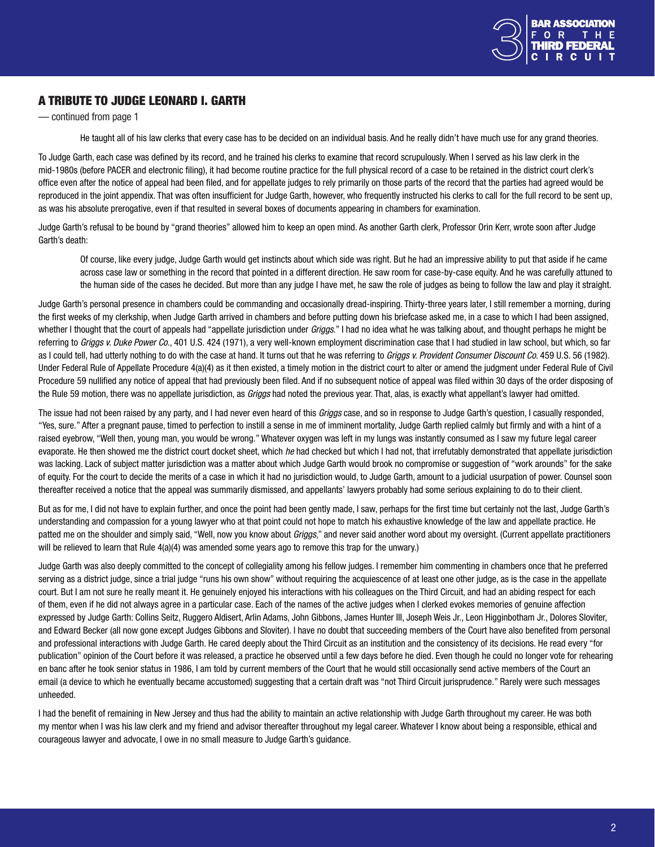

# <span id="page-1-0"></span>A TRIBUTE TO JUDGE LEONARD I. GARTH

— continued from page 1

He taught all of his law clerks that every case has to be decided on an individual basis. And he really didn't have much use for any grand theories.

To Judge Garth, each case was defined by its record, and he trained his clerks to examine that record scrupulously. When I served as his law clerk in the mid-1980s (before PACER and electronic filing), it had become routine practice for the full physical record of a case to be retained in the district court clerk's office even after the notice of appeal had been filed, and for appellate judges to rely primarily on those parts of the record that the parties had agreed would be reproduced in the joint appendix. That was often insufficient for Judge Garth, however, who frequently instructed his clerks to call for the full record to be sent up, as was his absolute prerogative, even if that resulted in several boxes of documents appearing in chambers for examination.

Judge Garth's refusal to be bound by "grand theories" allowed him to keep an open mind. As another Garth clerk, Professor Orin Kerr, wrote soon after Judge Garth's death:

Of course, like every judge, Judge Garth would get instincts about which side was right. But he had an impressive ability to put that aside if he came across case law or something in the record that pointed in a different direction. He saw room for case-by-case equity. And he was carefully attuned to the human side of the cases he decided. But more than any judge I have met, he saw the role of judges as being to follow the law and play it straight.

Judge Garth's personal presence in chambers could be commanding and occasionally dread-inspiring. Thirty-three years later, I still remember a morning, during the first weeks of my clerkship, when Judge Garth arrived in chambers and before putting down his briefcase asked me, in a case to which I had been assigned, whether I thought that the court of appeals had "appellate jurisdiction under *Griggs*." I had no idea what he was talking about, and thought perhaps he might be referring to *Griggs v. Duke Power Co.*, 401 U.S. 424 (1971), a very well-known employment discrimination case that I had studied in law school, but which, so far as I could tell, had utterly nothing to do with the case at hand. It turns out that he was referring to *Griggs v. Provident Consumer Discount Co*. 459 U.S. 56 (1982). Under Federal Rule of Appellate Procedure 4(a)(4) as it then existed, a timely motion in the district court to alter or amend the judgment under Federal Rule of Civil Procedure 59 nullified any notice of appeal that had previously been filed. And if no subsequent notice of appeal was filed within 30 days of the order disposing of the Rule 59 motion, there was no appellate jurisdiction, as *Griggs* had noted the previous year. That, alas, is exactly what appellant's lawyer had omitted.

The issue had not been raised by any party, and I had never even heard of this *Griggs* case, and so in response to Judge Garth's question, I casually responded, "Yes, sure." After a pregnant pause, timed to perfection to instill a sense in me of imminent mortality, Judge Garth replied calmly but firmly and with a hint of a raised eyebrow, "Well then, young man, you would be wrong." Whatever oxygen was left in my lungs was instantly consumed as I saw my future legal career evaporate. He then showed me the district court docket sheet, which *he* had checked but which I had not, that irrefutably demonstrated that appellate jurisdiction was lacking. Lack of subject matter jurisdiction was a matter about which Judge Garth would brook no compromise or suggestion of "work arounds" for the sake of equity. For the court to decide the merits of a case in which it had no jurisdiction would, to Judge Garth, amount to a judicial usurpation of power. Counsel soon thereafter received a notice that the appeal was summarily dismissed, and appellants' lawyers probably had some serious explaining to do to their client.

But as for me, I did not have to explain further, and once the point had been gently made, I saw, perhaps for the first time but certainly not the last, Judge Garth's understanding and compassion for a young lawyer who at that point could not hope to match his exhaustive knowledge of the law and appellate practice. He patted me on the shoulder and simply said, "Well, now you know about *Griggs*," and never said another word about my oversight. (Current appellate practitioners will be relieved to learn that Rule 4(a)(4) was amended some years ago to remove this trap for the unwary.)

Judge Garth was also deeply committed to the concept of collegiality among his fellow judges. I remember him commenting in chambers once that he preferred serving as a district judge, since a trial judge "runs his own show" without requiring the acquiescence of at least one other judge, as is the case in the appellate court. But I am not sure he really meant it. He genuinely enjoyed his interactions with his colleagues on the Third Circuit, and had an abiding respect for each of them, even if he did not always agree in a particular case. Each of the names of the active judges when I clerked evokes memories of genuine affection expressed by Judge Garth: Collins Seitz, Ruggero Aldisert, Arlin Adams, John Gibbons, James Hunter III, Joseph Weis Jr., Leon Higginbotham Jr., Dolores Sloviter, and Edward Becker (all now gone except Judges Gibbons and Sloviter). I have no doubt that succeeding members of the Court have also benefited from personal and professional interactions with Judge Garth. He cared deeply about the Third Circuit as an institution and the consistency of its decisions. He read every "for publication" opinion of the Court before it was released, a practice he observed until a few days before he died. Even though he could no longer vote for rehearing en banc after he took senior status in 1986, I am told by current members of the Court that he would still occasionally send active members of the Court an email (a device to which he eventually became accustomed) suggesting that a certain draft was "not Third Circuit jurisprudence." Rarely were such messages unheeded.

I had the benefit of remaining in New Jersey and thus had the ability to maintain an active relationship with Judge Garth throughout my career. He was both my mentor when I was his law clerk and my friend and advisor thereafter throughout my legal career. Whatever I know about being a responsible, ethical and courageous lawyer and advocate, I owe in no small measure to Judge Garth's guidance.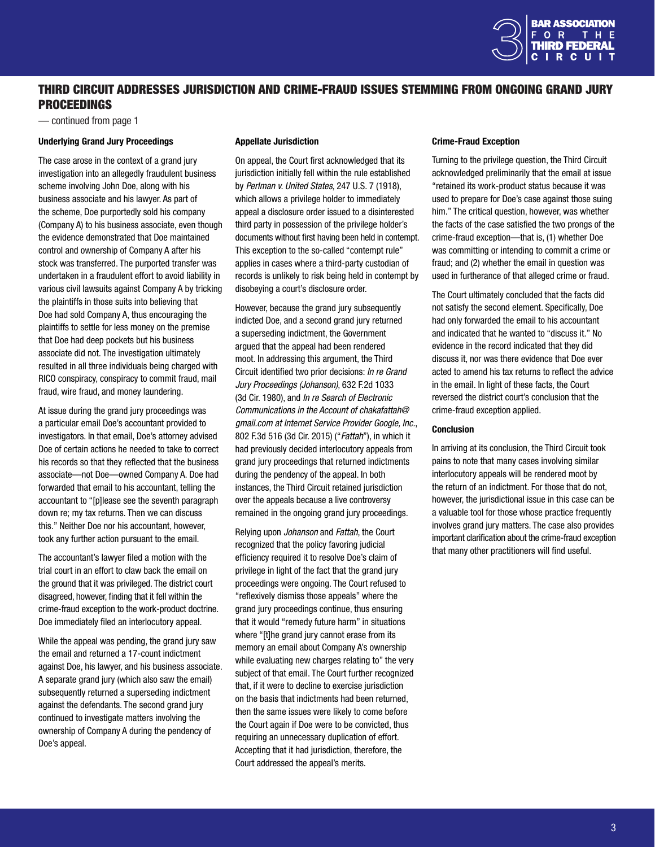

# <span id="page-2-0"></span>THIRD CIRCUIT ADDRESSES JURISDICTION AND CRIME-FRAUD ISSUES STEMMING FROM ONGOING GRAND JURY PROCEEDINGS

— continued from page 1

#### Underlying Grand Jury Proceedings

The case arose in the context of a grand jury investigation into an allegedly fraudulent business scheme involving John Doe, along with his business associate and his lawyer. As part of the scheme, Doe purportedly sold his company (Company A) to his business associate, even though the evidence demonstrated that Doe maintained control and ownership of Company A after his stock was transferred. The purported transfer was undertaken in a fraudulent effort to avoid liability in various civil lawsuits against Company A by tricking the plaintiffs in those suits into believing that Doe had sold Company A, thus encouraging the plaintiffs to settle for less money on the premise that Doe had deep pockets but his business associate did not. The investigation ultimately resulted in all three individuals being charged with RICO conspiracy, conspiracy to commit fraud, mail fraud, wire fraud, and money laundering.

At issue during the grand jury proceedings was a particular email Doe's accountant provided to investigators. In that email, Doe's attorney advised Doe of certain actions he needed to take to correct his records so that they reflected that the business associate—not Doe—owned Company A. Doe had forwarded that email to his accountant, telling the accountant to "[p]lease see the seventh paragraph down re; my tax returns. Then we can discuss this." Neither Doe nor his accountant, however, took any further action pursuant to the email.

The accountant's lawyer filed a motion with the trial court in an effort to claw back the email on the ground that it was privileged. The district court disagreed, however, finding that it fell within the crime-fraud exception to the work-product doctrine. Doe immediately filed an interlocutory appeal.

While the appeal was pending, the grand jury saw the email and returned a 17-count indictment against Doe, his lawyer, and his business associate. A separate grand jury (which also saw the email) subsequently returned a superseding indictment against the defendants. The second grand jury continued to investigate matters involving the ownership of Company A during the pendency of Doe's appeal.

#### Appellate Jurisdiction

On appeal, the Court first acknowledged that its jurisdiction initially fell within the rule established by *Perlman v. United States*, 247 U.S. 7 (1918), which allows a privilege holder to immediately appeal a disclosure order issued to a disinterested third party in possession of the privilege holder's documents without first having been held in contempt. This exception to the so-called "contempt rule" applies in cases where a third-party custodian of records is unlikely to risk being held in contempt by disobeying a court's disclosure order.

However, because the grand jury subsequently indicted Doe, and a second grand jury returned a superseding indictment, the Government argued that the appeal had been rendered moot. In addressing this argument, the Third Circuit identified two prior decisions: *In re Grand Jury Proceedings (Johanson)*, 632 F.2d 1033 (3d Cir. 1980), and *In re Search of Electronic Communications in the Account of chakafattah@ gmail.com at Internet Service Provider Google, Inc.*, 802 F.3d 516 (3d Cir. 2015) ("*Fattah*"), in which it had previously decided interlocutory appeals from grand jury proceedings that returned indictments during the pendency of the appeal. In both instances, the Third Circuit retained jurisdiction over the appeals because a live controversy remained in the ongoing grand jury proceedings.

Relying upon *Johanson* and *Fattah*, the Court recognized that the policy favoring judicial efficiency required it to resolve Doe's claim of privilege in light of the fact that the grand jury proceedings were ongoing. The Court refused to "reflexively dismiss those appeals" where the grand jury proceedings continue, thus ensuring that it would "remedy future harm" in situations where "[t]he grand jury cannot erase from its memory an email about Company A's ownership while evaluating new charges relating to" the very subject of that email. The Court further recognized that, if it were to decline to exercise jurisdiction on the basis that indictments had been returned, then the same issues were likely to come before the Court again if Doe were to be convicted, thus requiring an unnecessary duplication of effort. Accepting that it had jurisdiction, therefore, the Court addressed the appeal's merits.

#### Crime-Fraud Exception

Turning to the privilege question, the Third Circuit acknowledged preliminarily that the email at issue "retained its work-product status because it was used to prepare for Doe's case against those suing him." The critical question, however, was whether the facts of the case satisfied the two prongs of the crime-fraud exception—that is, (1) whether Doe was committing or intending to commit a crime or fraud; and (2) whether the email in question was used in furtherance of that alleged crime or fraud.

The Court ultimately concluded that the facts did not satisfy the second element. Specifically, Doe had only forwarded the email to his accountant and indicated that he wanted to "discuss it." No evidence in the record indicated that they did discuss it, nor was there evidence that Doe ever acted to amend his tax returns to reflect the advice in the email. In light of these facts, the Court reversed the district court's conclusion that the crime-fraud exception applied.

## Conclusion

In arriving at its conclusion, the Third Circuit took pains to note that many cases involving similar interlocutory appeals will be rendered moot by the return of an indictment. For those that do not, however, the jurisdictional issue in this case can be a valuable tool for those whose practice frequently involves grand jury matters. The case also provides important clarification about the crime-fraud exception that many other practitioners will find useful.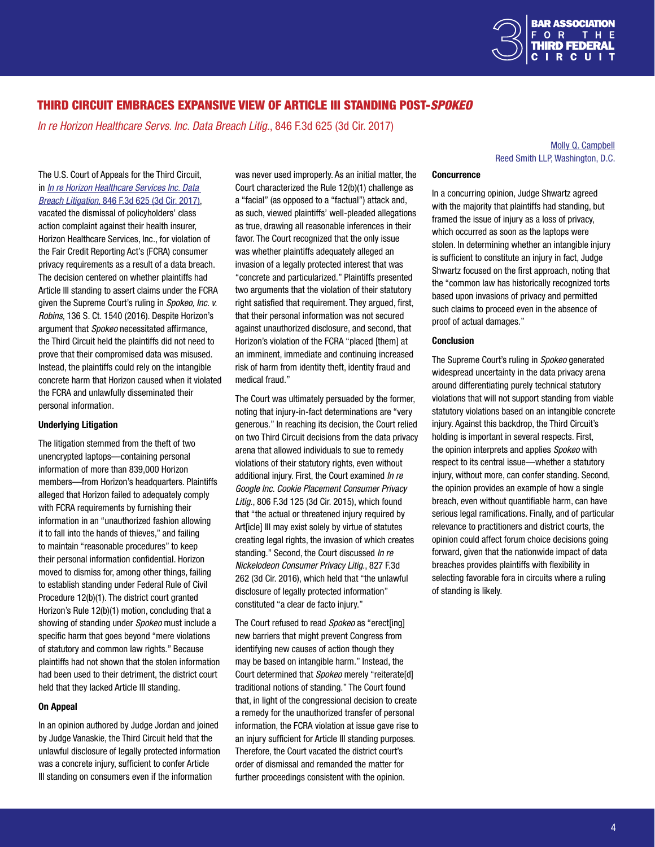

# THIRD CIRCUIT EMBRACES EXPANSIVE VIEW OF ARTICLE III STANDING POST-*SPOKEO*

*In re Horizon Healthcare Servs. Inc. Data Breach Litig.*, 846 F.3d 625 (3d Cir. 2017)

The U.S. Court of Appeals for the Third Circuit, in *[In re Horizon Healthcare Services Inc. Data](http://www2.ca3.uscourts.gov/opinarch/152309p.pdf)  Breach Litigation*[, 846 F.3d 625 \(3d Cir. 2017\),](http://www2.ca3.uscourts.gov/opinarch/152309p.pdf) vacated the dismissal of policyholders' class action complaint against their health insurer, Horizon Healthcare Services, Inc., for violation of the Fair Credit Reporting Act's (FCRA) consumer privacy requirements as a result of a data breach. The decision centered on whether plaintiffs had Article III standing to assert claims under the FCRA given the Supreme Court's ruling in *Spokeo, Inc. v. Robins*, 136 S. Ct. 1540 (2016). Despite Horizon's argument that *Spokeo* necessitated affirmance, the Third Circuit held the plaintiffs did not need to prove that their compromised data was misused. Instead, the plaintiffs could rely on the intangible concrete harm that Horizon caused when it violated the FCRA and unlawfully disseminated their personal information.

## Underlying Litigation

The litigation stemmed from the theft of two unencrypted laptops—containing personal information of more than 839,000 Horizon members—from Horizon's headquarters. Plaintiffs alleged that Horizon failed to adequately comply with FCRA requirements by furnishing their information in an "unauthorized fashion allowing it to fall into the hands of thieves," and failing to maintain "reasonable procedures" to keep their personal information confidential. Horizon moved to dismiss for, among other things, failing to establish standing under Federal Rule of Civil Procedure 12(b)(1). The district court granted Horizon's Rule 12(b)(1) motion, concluding that a showing of standing under *Spokeo* must include a specific harm that goes beyond "mere violations of statutory and common law rights." Because plaintiffs had not shown that the stolen information had been used to their detriment, the district court held that they lacked Article III standing.

## On Appeal

In an opinion authored by Judge Jordan and joined by Judge Vanaskie, the Third Circuit held that the unlawful disclosure of legally protected information was a concrete injury, sufficient to confer Article III standing on consumers even if the information

was never used improperly. As an initial matter, the Court characterized the Rule 12(b)(1) challenge as a "facial" (as opposed to a "factual") attack and, as such, viewed plaintiffs' well-pleaded allegations as true, drawing all reasonable inferences in their favor. The Court recognized that the only issue was whether plaintiffs adequately alleged an invasion of a legally protected interest that was "concrete and particularized." Plaintiffs presented two arguments that the violation of their statutory right satisfied that requirement. They argued, first, that their personal information was not secured against unauthorized disclosure, and second, that Horizon's violation of the FCRA "placed [them] at an imminent, immediate and continuing increased risk of harm from identity theft, identity fraud and medical fraud."

The Court was ultimately persuaded by the former, noting that injury-in-fact determinations are "very generous." In reaching its decision, the Court relied on two Third Circuit decisions from the data privacy arena that allowed individuals to sue to remedy violations of their statutory rights, even without additional injury. First, the Court examined *In re Google Inc. Cookie Placement Consumer Privacy Litig.*, 806 F.3d 125 (3d Cir. 2015), which found that "the actual or threatened injury required by Art[icle] III may exist solely by virtue of statutes creating legal rights, the invasion of which creates standing." Second, the Court discussed *In re Nickelodeon Consumer Privacy Litig.*, 827 F.3d 262 (3d Cir. 2016), which held that "the unlawful disclosure of legally protected information" constituted "a clear de facto injury."

The Court refused to read *Spokeo* as "erect[ing] new barriers that might prevent Congress from identifying new causes of action though they may be based on intangible harm." Instead, the Court determined that *Spokeo* merely "reiterate[d] traditional notions of standing." The Court found that, in light of the congressional decision to create a remedy for the unauthorized transfer of personal information, the FCRA violation at issue gave rise to an injury sufficient for Article III standing purposes. Therefore, the Court vacated the district court's order of dismissal and remanded the matter for further proceedings consistent with the opinion.

## [Molly Q. Campbell](https://www.reedsmith.com/molly_campbell/) Reed Smith LLP, Washington, D.C.

## **Concurrence**

In a concurring opinion, Judge Shwartz agreed with the majority that plaintiffs had standing, but framed the issue of injury as a loss of privacy, which occurred as soon as the laptops were stolen. In determining whether an intangible injury is sufficient to constitute an injury in fact, Judge Shwartz focused on the first approach, noting that the "common law has historically recognized torts based upon invasions of privacy and permitted such claims to proceed even in the absence of proof of actual damages."

#### Conclusion

The Supreme Court's ruling in *Spokeo* generated widespread uncertainty in the data privacy arena around differentiating purely technical statutory violations that will not support standing from viable statutory violations based on an intangible concrete injury. Against this backdrop, the Third Circuit's holding is important in several respects. First, the opinion interprets and applies *Spokeo* with respect to its central issue—whether a statutory injury, without more, can confer standing. Second, the opinion provides an example of how a single breach, even without quantifiable harm, can have serious legal ramifications. Finally, and of particular relevance to practitioners and district courts, the opinion could affect forum choice decisions going forward, given that the nationwide impact of data breaches provides plaintiffs with flexibility in selecting favorable fora in circuits where a ruling of standing is likely.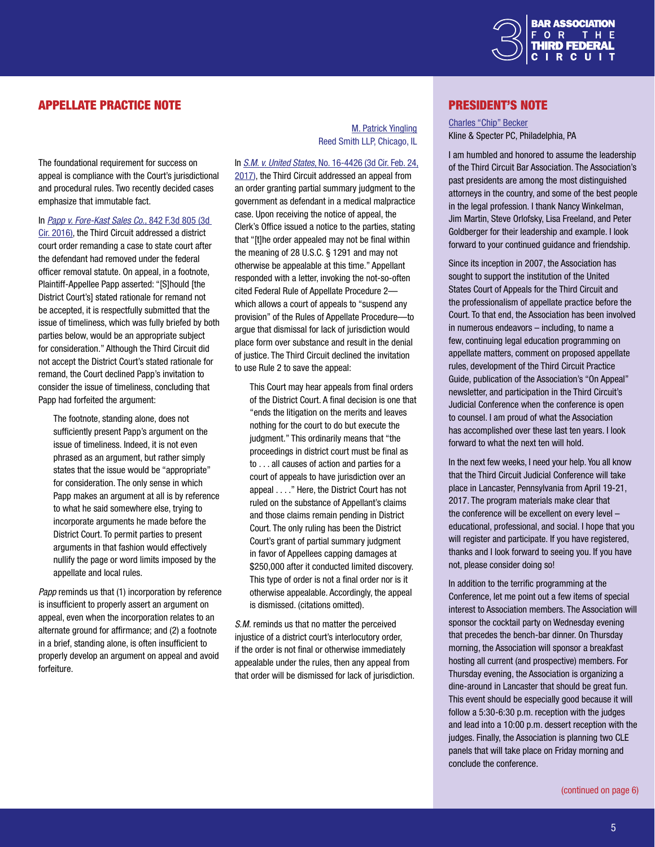

# APPELLATE PRACTICE NOTE

The foundational requirement for success on appeal is compliance with the Court's jurisdictional and procedural rules. Two recently decided cases emphasize that immutable fact.

In *[Papp v. Fore-Kast Sales Co.](http://www2.ca3.uscourts.gov/opinarch/152851p.pdf)*, 842 F.3d 805 (3d

[Cir. 2016\),](http://www2.ca3.uscourts.gov/opinarch/152851p.pdf) the Third Circuit addressed a district court order remanding a case to state court after the defendant had removed under the federal officer removal statute. On appeal, in a footnote, Plaintiff-Appellee Papp asserted: "[S]hould [the District Court's] stated rationale for remand not be accepted, it is respectfully submitted that the issue of timeliness, which was fully briefed by both parties below, would be an appropriate subject for consideration." Although the Third Circuit did not accept the District Court's stated rationale for remand, the Court declined Papp's invitation to consider the issue of timeliness, concluding that Papp had forfeited the argument:

The footnote, standing alone, does not sufficiently present Papp's argument on the issue of timeliness. Indeed, it is not even phrased as an argument, but rather simply states that the issue would be "appropriate" for consideration. The only sense in which Papp makes an argument at all is by reference to what he said somewhere else, trying to incorporate arguments he made before the District Court. To permit parties to present arguments in that fashion would effectively nullify the page or word limits imposed by the appellate and local rules.

*Papp* reminds us that (1) incorporation by reference is insufficient to properly assert an argument on appeal, even when the incorporation relates to an alternate ground for affirmance; and (2) a footnote in a brief, standing alone, is often insufficient to properly develop an argument on appeal and avoid forfeiture.

## [M. Patrick Yingling](https://www.reedsmith.com/Patrick_Yingling/) Reed Smith LLP, Chicago, IL

In *S.M. v. United States*[, No. 16-4426 \(3d Cir. Feb. 24,](https://www.law360.com/articles/898823/attachments/0) [2017\)](https://www.law360.com/articles/898823/attachments/0), the Third Circuit addressed an appeal from an order granting partial summary judgment to the government as defendant in a medical malpractice case. Upon receiving the notice of appeal, the Clerk's Office issued a notice to the parties, stating that "[t]he order appealed may not be final within the meaning of 28 U.S.C. § 1291 and may not otherwise be appealable at this time." Appellant responded with a letter, invoking the not-so-often cited Federal Rule of Appellate Procedure 2 which allows a court of appeals to "suspend any provision" of the Rules of Appellate Procedure—to argue that dismissal for lack of jurisdiction would place form over substance and result in the denial of justice. The Third Circuit declined the invitation to use Rule 2 to save the appeal:

This Court may hear appeals from final orders of the District Court. A final decision is one that "ends the litigation on the merits and leaves nothing for the court to do but execute the judgment." This ordinarily means that "the proceedings in district court must be final as to . . . all causes of action and parties for a court of appeals to have jurisdiction over an appeal . . . ." Here, the District Court has not ruled on the substance of Appellant's claims and those claims remain pending in District Court. The only ruling has been the District Court's grant of partial summary judgment in favor of Appellees capping damages at \$250,000 after it conducted limited discovery. This type of order is not a final order nor is it otherwise appealable. Accordingly, the appeal is dismissed. (citations omitted).

*S.M.* reminds us that no matter the perceived injustice of a district court's interlocutory order, if the order is not final or otherwise immediately appealable under the rules, then any appeal from that order will be dismissed for lack of jurisdiction.

# President's Note

[Charles "Chip" Becker](http://www.klinespecter.com/lawyers_becker.html) Kline & Specter PC, Philadelphia, PA

I am humbled and honored to assume the leadership of the Third Circuit Bar Association. The Association's past presidents are among the most distinguished attorneys in the country, and some of the best people in the legal profession. I thank Nancy Winkelman, Jim Martin, Steve Orlofsky, Lisa Freeland, and Peter Goldberger for their leadership and example. I look forward to your continued guidance and friendship.

Since its inception in 2007, the Association has sought to support the institution of the United States Court of Appeals for the Third Circuit and the professionalism of appellate practice before the Court. To that end, the Association has been involved in numerous endeavors – including, to name a few, continuing legal education programming on appellate matters, comment on proposed appellate rules, development of the Third Circuit Practice Guide, publication of the Association's "On Appeal" newsletter, and participation in the Third Circuit's Judicial Conference when the conference is open to counsel. I am proud of what the Association has accomplished over these last ten years. I look forward to what the next ten will hold.

In the next few weeks, I need your help. You all know that the Third Circuit Judicial Conference will take place in Lancaster, Pennsylvania from April 19-21, 2017. The program materials make clear that the conference will be excellent on every level – educational, professional, and social. I hope that you will register and participate. If you have registered, thanks and I look forward to seeing you. If you have not, please consider doing so!

In addition to the terrific programming at the Conference, let me point out a few items of special interest to Association members. The Association will sponsor the cocktail party on Wednesday evening that precedes the bench-bar dinner. On Thursday morning, the Association will sponsor a breakfast hosting all current (and prospective) members. For Thursday evening, the Association is organizing a dine-around in Lancaster that should be great fun. This event should be especially good because it will follow a 5:30-6:30 p.m. reception with the judges and lead into a 10:00 p.m. dessert reception with the judges. Finally, the Association is planning two CLE panels that will take place on Friday morning and conclude the conference.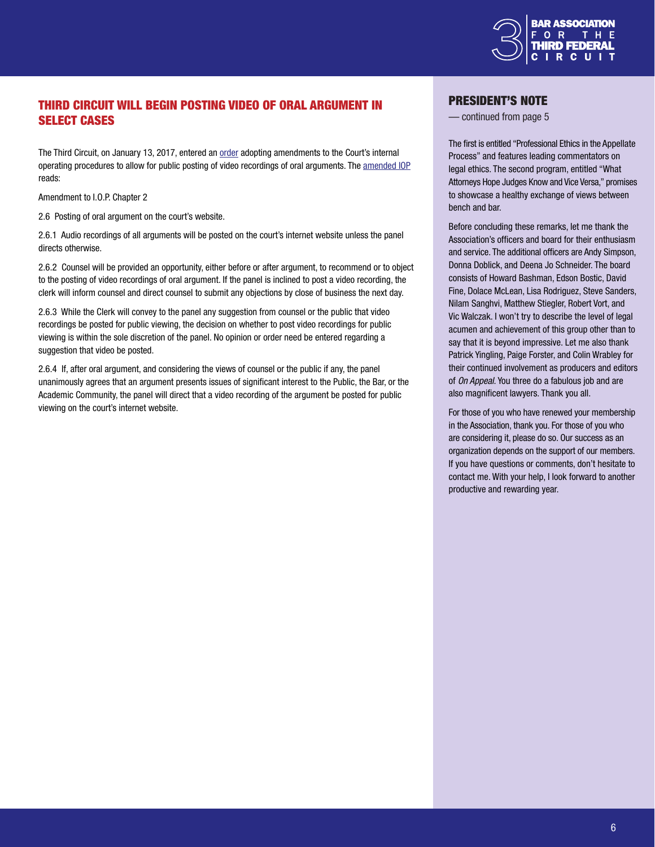

# THIRD CIRCUIT WILL BEGIN POSTING VIDEO OF ORAL ARGUMENT IN SELECT CASES

The Third Circuit, on January 13, 2017, entered an [order](http://www.ca3.uscourts.gov/sites/ca3/files/011317_Order adopting IOP.pdf) adopting amendments to the Court's internal operating procedures to allow for public posting of video recordings of oral arguments. The [amended IOP](http://www.ca3.uscourts.gov/sites/ca3/files/011317IOP_Final_Chpt2_Insert.pdf) reads:

Amendment to I.O.P. Chapter 2

2.6 Posting of oral argument on the court's website.

2.6.1 Audio recordings of all arguments will be posted on the court's internet website unless the panel directs otherwise.

2.6.2 Counsel will be provided an opportunity, either before or after argument, to recommend or to object to the posting of video recordings of oral argument. If the panel is inclined to post a video recording, the clerk will inform counsel and direct counsel to submit any objections by close of business the next day.

2.6.3 While the Clerk will convey to the panel any suggestion from counsel or the public that video recordings be posted for public viewing, the decision on whether to post video recordings for public viewing is within the sole discretion of the panel. No opinion or order need be entered regarding a suggestion that video be posted.

2.6.4 If, after oral argument, and considering the views of counsel or the public if any, the panel unanimously agrees that an argument presents issues of significant interest to the Public, the Bar, or the Academic Community, the panel will direct that a video recording of the argument be posted for public viewing on the court's internet website.

# President's Note

— continued from page 5

The first is entitled "Professional Ethics in the Appellate Process" and features leading commentators on legal ethics. The second program, entitled "What Attorneys Hope Judges Know and Vice Versa," promises to showcase a healthy exchange of views between bench and bar.

Before concluding these remarks, let me thank the Association's officers and board for their enthusiasm and service. The additional officers are Andy Simpson, Donna Doblick, and Deena Jo Schneider. The board consists of Howard Bashman, Edson Bostic, David Fine, Dolace McLean, Lisa Rodriguez, Steve Sanders, Nilam Sanghvi, Matthew Stiegler, Robert Vort, and Vic Walczak. I won't try to describe the level of legal acumen and achievement of this group other than to say that it is beyond impressive. Let me also thank Patrick Yingling, Paige Forster, and Colin Wrabley for their continued involvement as producers and editors of *On Appeal*. You three do a fabulous job and are also magnificent lawyers. Thank you all.

For those of you who have renewed your membership in the Association, thank you. For those of you who are considering it, please do so. Our success as an organization depends on the support of our members. If you have questions or comments, don't hesitate to contact me. With your help, I look forward to another productive and rewarding year.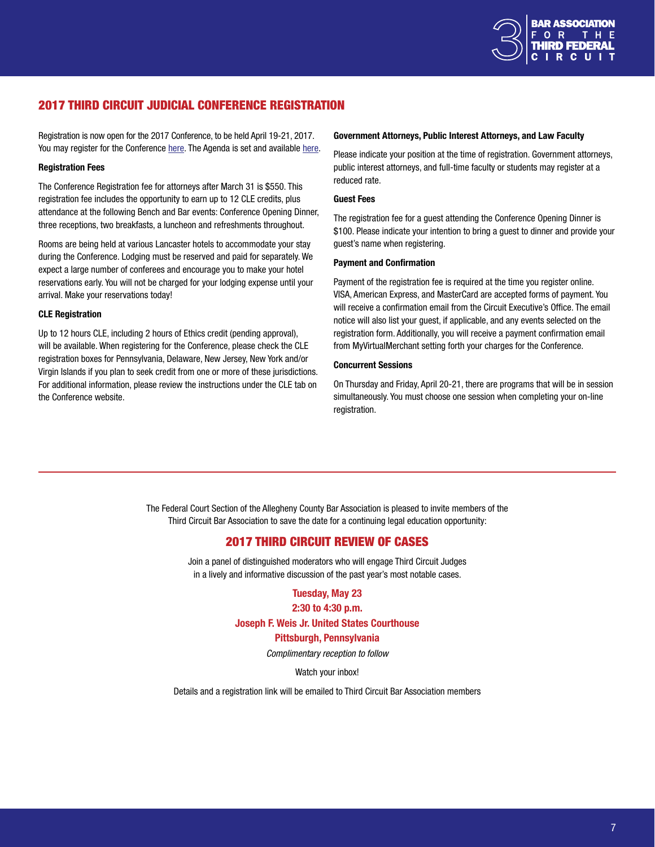

# 2017 THIRD CIRCUIT JUDICIAL CONFERENCE REGISTRATION

Registration is now open for the 2017 Conference, to be held April 19-21, 2017. You may register for the Conference [here](http://www2.ca3.uscourts.gov/conference/reg17conf.aspx). The Agenda is set and available [here.](http://www2.ca3.uscourts.gov/conference/2017Agenda.pdf)

## Registration Fees

The Conference Registration fee for attorneys after March 31 is \$550. This registration fee includes the opportunity to earn up to 12 CLE credits, plus attendance at the following Bench and Bar events: Conference Opening Dinner, three receptions, two breakfasts, a luncheon and refreshments throughout.

Rooms are being held at various Lancaster hotels to accommodate your stay during the Conference. Lodging must be reserved and paid for separately. We expect a large number of conferees and encourage you to make your hotel reservations early. You will not be charged for your lodging expense until your arrival. Make your reservations today!

## CLE Registration

Up to 12 hours CLE, including 2 hours of Ethics credit (pending approval), will be available. When registering for the Conference, please check the CLE registration boxes for Pennsylvania, Delaware, New Jersey, New York and/or Virgin Islands if you plan to seek credit from one or more of these jurisdictions. For additional information, please review the instructions under the CLE tab on the Conference website.

#### Government Attorneys, Public Interest Attorneys, and Law Faculty

Please indicate your position at the time of registration. Government attorneys, public interest attorneys, and full-time faculty or students may register at a reduced rate.

## Guest Fees

The registration fee for a guest attending the Conference Opening Dinner is \$100. Please indicate your intention to bring a guest to dinner and provide your guest's name when registering.

## Payment and Confirmation

Payment of the registration fee is required at the time you register online. VISA, American Express, and MasterCard are accepted forms of payment. You will receive a confirmation email from the Circuit Executive's Office. The email notice will also list your guest, if applicable, and any events selected on the registration form. Additionally, you will receive a payment confirmation email from MyVirtualMerchant setting forth your charges for the Conference.

## Concurrent Sessions

On Thursday and Friday, April 20-21, there are programs that will be in session simultaneously. You must choose one session when completing your on-line registration.

The Federal Court Section of the Allegheny County Bar Association is pleased to invite members of the Third Circuit Bar Association to save the date for a continuing legal education opportunity:

# 2017 Third Circuit Review of Cases

Join a panel of distinguished moderators who will engage Third Circuit Judges in a lively and informative discussion of the past year's most notable cases.

## Tuesday, May 23

2:30 to 4:30 p.m.

Joseph F. Weis Jr. United States Courthouse

## Pittsburgh, Pennsylvania

*Complimentary reception to follow*

## Watch your inbox!

Details and a registration link will be emailed to Third Circuit Bar Association members